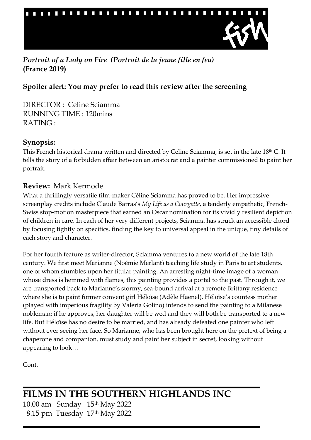

*Portrait of a Lady on Fire (Portrait de la jeune fille en feu)* **(France 2019)**

# **Spoiler alert: You may prefer to read this review after the screening**

DIRECTOR : Celine Sciamma RUNNING TIME : 120mins RATING :

### **Synopsis:**

This French historical drama written and directed by Celine Sciamma, is set in the late 18<sup>th</sup> C. It tells the story of a forbidden affair between an aristocrat and a painter commissioned to paint her portrait.

### **Review:** [Mark Kermode](https://www.theguardian.com/profile/markkermode).

What a thrillingly versatile film-maker [Céline Sciamma](https://www.theguardian.com/film/2020/feb/21/celine-sciamma-portrait-of-a-lady-on-fire) has proved to be. Her impressive screenplay credits include Claude Barras's *[My Life as a Courgette](https://www.theguardian.com/film/2017/jun/04/my-life-as-courgette-review)*, a tenderly empathetic, French-Swiss stop-motion masterpiece that earned an Oscar nomination for its vividly resilient depiction of children in care. In each of her very different projects, Sciamma has struck an accessible chord by focusing tightly on specifics, finding the key to universal appeal in the unique, tiny details of each story and character.

For her fourth feature as writer-director, Sciamma ventures to a new world of the late 18th century. We first meet Marianne (Noémie Merlant) teaching life study in Paris to art students, one of whom stumbles upon her titular painting. An arresting night-time image of a woman whose dress is hemmed with flames, this painting provides a portal to the past. Through it, we are transported back to Marianne's stormy, sea-bound arrival at a remote Brittany residence where she is to paint former convent girl Héloïse (Adèle Haenel). Héloïse's countess mother (played with imperious fragility by Valeria Golino) intends to send the painting to a Milanese nobleman; if he approves, her daughter will be wed and they will both be transported to a new life. But Héloïse has no desire to be married, and has already defeated one painter who left without ever seeing her face. So Marianne, who has been brought here on the pretext of being a chaperone and companion, must study and paint her subject in secret, looking without appearing to look…

Cont.

**FILMS IN THE SOUTHERN HIGHLANDS INC** 10.00 am Sunday 15th May 2022 8.15 pm Tuesday 17th May 2022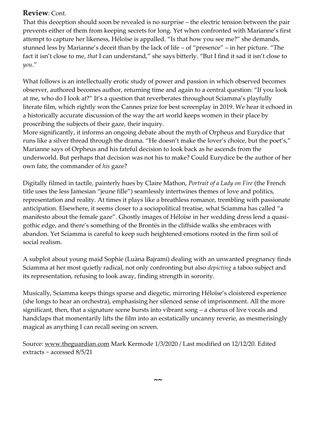### **Review**: Cont.

That this deception should soon be revealed is no surprise – the electric tension between the pair prevents either of them from keeping secrets for long. Yet when confronted with Marianne's first attempt to capture her likeness, Héloïse is appalled. "Is that how you see me?" she demands, stunned less by Marianne's deceit than by the lack of life – of "presence" – in her picture. "The fact it isn't close to me, *that* I can understand," she says bitterly. "But I find it sad it isn't close to *you*."

What follows is an intellectually erotic study of power and passion in which observed becomes observer, authored becomes author, returning time and again to a central question: "If you look at me, who do I look at?" It's a question that reverberates throughout Sciamma's playfully literate film, which rightly won the Cannes prize for best screenplay in 2019. We hear it echoed in a historically accurate discussion of the way the art world keeps women in their place by proscribing the subjects of their gaze, their inquiry.

More significantly, it informs an ongoing debate about the myth of Orpheus and Eurydice that runs like a silver thread through the drama. "He doesn't make the lover's choice, but the poet's," Marianne says of Orpheus and his fateful decision to look back as he ascends from the underworld. But perhaps that decision was not his to make? Could Eurydice be the author of her own fate, the commander of *his* gaze?

Digitally filmed in tactile, painterly hues by Claire Mathon, *Portrait of a Lady on Fire* (the French title uses the less Jamesian "jeune fille") seamlessly intertwines themes of love and politics, representation and reality. At times it plays like a breathless romance, trembling with passionate anticipation. Elsewhere, it seems closer to a sociopolitical treatise, what Sciamma has called "a manifesto about the female gaze". Ghostly images of Héloïse in her wedding dress lend a quasigothic edge, and there's something of the Brontës in the cliffside walks she embraces with abandon. Yet Sciamma is careful to keep such heightened emotions rooted in the firm soil of social realism.

A subplot about young maid Sophie (Luàna Bajrami) dealing with an unwanted pregnancy finds Sciamma at her most quietly radical, not only confronting but also *depicting* a taboo subject and its representation, refusing to look away, finding strength in sorority.

Musically, Sciamma keeps things sparse and diegetic, mirroring Héloïse's cloistered experience (she longs to hear an orchestra), emphasising her silenced sense of imprisonment. All the more significant, then, that a signature scene bursts into vibrant song – a chorus of live vocals and handclaps that momentarily lifts the film into an ecstatically uncanny reverie, as mesmerisingly magical as anything I can recall seeing on screen.

Source: [www.theguardian.com](http://www.theguardian.com/) Mark Kermode 1/3/2020 / Last modified on 12/12/20. Edited extracts ~ accessed 8/5/21

**~~**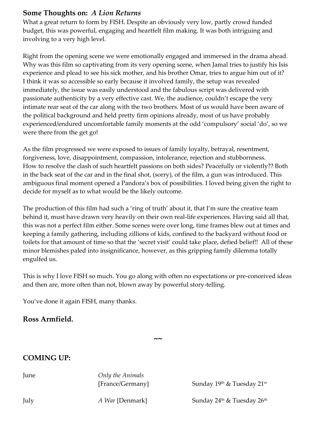### **Some Thoughts on:** *A Lion Returns*

What a great return to form by FISH. Despite an obviously very low, partly crowd funded budget, this was powerful, engaging and heartfelt film making. It was both intriguing and involving to a very high level.

Right from the opening scene we were emotionally engaged and immersed in the drama ahead. Why was this film so captivating from its very opening scene, when Jamal tries to justify his Isis experience and plead to see his sick mother, and his brother Omar, tries to argue him out of it? I think it was so accessible so early because it involved family, the setup was revealed immediately, the issue was easily understood and the fabulous script was delivered with passionate authenticity by a very effective cast. We, the audience, couldn't escape the very intimate rear seat of the car along with the two brothers. Most of us would have been aware of the political background and held pretty firm opinions already, most of us have probably experienced/endured uncomfortable family moments at the odd 'compulsory' social 'do', so we were there from the get go!

As the film progressed we were exposed to issues of family loyalty, betrayal, resentment, forgiveness, love, disappointment, compassion, intolerance, rejection and stubbornness. How to resolve the clash of such heartfelt passions on both sides? Peacefully or violently?? Both in the back seat of the car and in the final shot, (sorry), of the film, a gun was introduced. This ambiguous final moment opened a Pandora's box of possibilities. I loved being given the right to decide for myself as to what would be the likely outcome.

The production of this film had such a 'ring of truth' about it, that I'm sure the creative team behind it, must have drawn very heavily on their own real-life experiences. Having said all that, this was not a perfect film either. Some scenes were over long, time frames blew out at times and keeping a family gathering, including zillions of kids, confined to the backyard without food or toilets for that amount of time so that the 'secret visit' could take place, defied belief!! All of these minor blemishes paled into insignificance, however, as this gripping family dilemma totally engulfed us.

This is why I love FISH so much. You go along with often no expectations or pre-conceived ideas and then are, more often than not, blown away by powerful story-telling.

You've done it again FISH, many thanks.

#### **Ross Armfield.**

**~~**

# **COMING UP:**

| June | Only the Animals<br>[France/Germany] | Sunday $19th$ & Tuesday $21st$                     |
|------|--------------------------------------|----------------------------------------------------|
| July | <i>A War</i> [Denmark]               | Sunday $24^{\text{th}}$ & Tuesday $26^{\text{th}}$ |